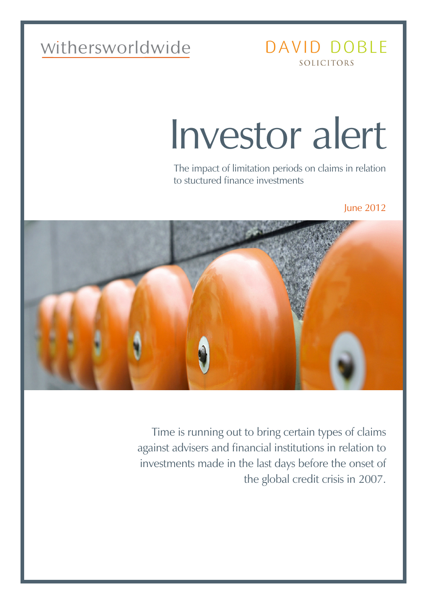# withersworldwide

## DAVID DOBLE SOLICITORS

# Investor alert

The impact of limitation periods on claims in relation to stuctured finance investments

June 2012



Time is running out to bring certain types of claims against advisers and financial institutions in relation to investments made in the last days before the onset of the global credit crisis in 2007.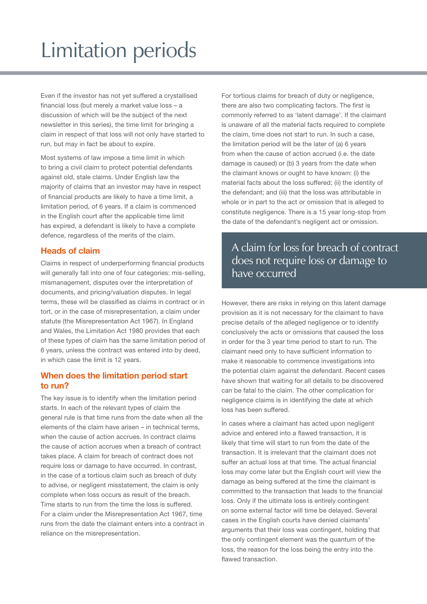# Limitation periods

Even if the investor has not yet suffered a crystallised financial loss (but merely a market value loss – a discussion of which will be the subject of the next newsletter in this series), the time limit for bringing a claim in respect of that loss will not only have started to run, but may in fact be about to expire.

Most systems of law impose a time limit in which to bring a civil claim to protect potential defendants against old, stale claims. Under English law the majority of claims that an investor may have in respect of financial products are likely to have a time limit, a limitation period, of 6 years. If a claim is commenced in the English court after the applicable time limit has expired, a defendant is likely to have a complete defence, regardless of the merits of the claim.

#### **Heads of claim**

Claims in respect of underperforming financial products will generally fall into one of four categories: mis-selling, mismanagement, disputes over the interpretation of documents, and pricing/valuation disputes. In legal terms, these will be classified as claims in contract or in tort, or in the case of misrepresentation, a claim under statute (the Misrepresentation Act 1967). In England and Wales, the Limitation Act 1980 provides that each of these types of claim has the same limitation period of 6 years, unless the contract was entered into by deed, in which case the limit is 12 years.

#### **When does the limitation period start to run?**

The key issue is to identify when the limitation period starts. In each of the relevant types of claim the general rule is that time runs from the date when all the elements of the claim have arisen – in technical terms, when the cause of action accrues. In contract claims the cause of action accrues when a breach of contract takes place. A claim for breach of contract does not require loss or damage to have occurred. In contrast, in the case of a tortious claim such as breach of duty to advise, or negligent misstatement, the claim is only complete when loss occurs as result of the breach. Time starts to run from the time the loss is suffered. For a claim under the Misrepresentation Act 1967, time runs from the date the claimant enters into a contract in reliance on the misrepresentation.

For tortious claims for breach of duty or negligence, there are also two complicating factors. The first is commonly referred to as 'latent damage'. If the claimant is unaware of all the material facts required to complete the claim, time does not start to run. In such a case, the limitation period will be the later of (a) 6 years from when the cause of action accrued (i.e. the date damage is caused) or (b) 3 years from the date when the claimant knows or ought to have known: (i) the material facts about the loss suffered; (ii) the identity of the defendant; and (iii) that the loss was attributable in whole or in part to the act or omission that is alleged to constitute negligence. There is a 15 year long-stop from the date of the defendant's negligent act or omission.

### A claim for loss for breach of contract does not require loss or damage to have occurred

However, there are risks in relying on this latent damage provision as it is not necessary for the claimant to have precise details of the alleged negligence or to identify conclusively the acts or omissions that caused the loss in order for the 3 year time period to start to run. The claimant need only to have sufficient information to make it reasonable to commence investigations into the potential claim against the defendant. Recent cases have shown that waiting for all details to be discovered can be fatal to the claim. The other complication for negligence claims is in identifying the date at which loss has been suffered.

In cases where a claimant has acted upon negligent advice and entered into a flawed transaction, it is likely that time will start to run from the date of the transaction. It is irrelevant that the claimant does not suffer an actual loss at that time. The actual financial loss may come later but the English court will view the damage as being suffered at the time the claimant is committed to the transaction that leads to the financial loss. Only if the ultimate loss is entirely contingent on some external factor will time be delayed. Several cases in the English courts have denied claimants' arguments that their loss was contingent, holding that the only contingent element was the quantum of the loss, the reason for the loss being the entry into the flawed transaction.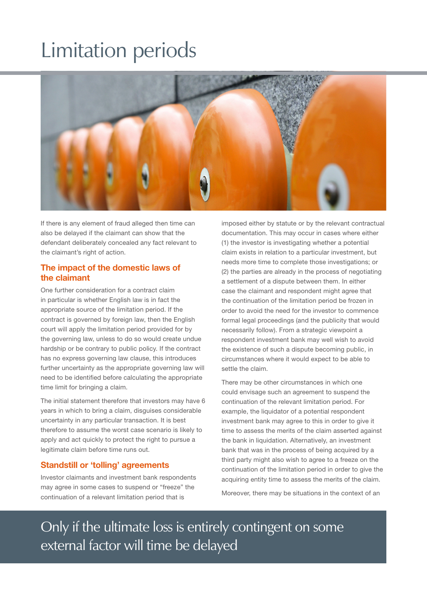# Limitation periods



If there is any element of fraud alleged then time can also be delayed if the claimant can show that the defendant deliberately concealed any fact relevant to the claimant's right of action.

#### **The impact of the domestic laws of the claimant**

One further consideration for a contract claim in particular is whether English law is in fact the appropriate source of the limitation period. If the contract is governed by foreign law, then the English court will apply the limitation period provided for by the governing law, unless to do so would create undue hardship or be contrary to public policy. If the contract has no express governing law clause, this introduces further uncertainty as the appropriate governing law will need to be identified before calculating the appropriate time limit for bringing a claim.

The initial statement therefore that investors may have 6 years in which to bring a claim, disguises considerable uncertainty in any particular transaction. It is best therefore to assume the worst case scenario is likely to apply and act quickly to protect the right to pursue a legitimate claim before time runs out.

#### **Standstill or 'tolling' agreements**

Investor claimants and investment bank respondents may agree in some cases to suspend or "freeze" the continuation of a relevant limitation period that is

imposed either by statute or by the relevant contractual documentation. This may occur in cases where either (1) the investor is investigating whether a potential claim exists in relation to a particular investment, but needs more time to complete those investigations; or (2) the parties are already in the process of negotiating a settlement of a dispute between them. In either case the claimant and respondent might agree that the continuation of the limitation period be frozen in order to avoid the need for the investor to commence formal legal proceedings (and the publicity that would necessarily follow). From a strategic viewpoint a respondent investment bank may well wish to avoid the existence of such a dispute becoming public, in circumstances where it would expect to be able to settle the claim.

There may be other circumstances in which one could envisage such an agreement to suspend the continuation of the relevant limitation period. For example, the liquidator of a potential respondent investment bank may agree to this in order to give it time to assess the merits of the claim asserted against the bank in liquidation. Alternatively, an investment bank that was in the process of being acquired by a third party might also wish to agree to a freeze on the continuation of the limitation period in order to give the acquiring entity time to assess the merits of the claim.

Moreover, there may be situations in the context of an

Only if the ultimate loss is entirely contingent on some external factor will time be delayed